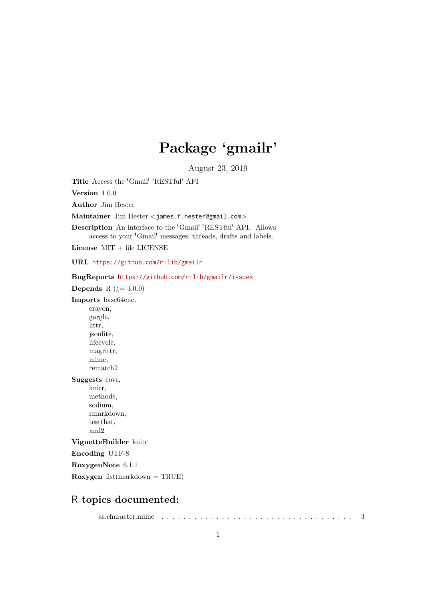# Package 'gmailr'

August 23, 2019

<span id="page-0-0"></span>Title Access the 'Gmail' 'RESTful' API

Version 1.0.0

Author Jim Hester

Maintainer Jim Hester <james.f.hester@gmail.com>

Description An interface to the 'Gmail' 'RESTful' API. Allows access to your 'Gmail' messages, threads, drafts and labels.

License MIT + file LICENSE

URL <https://github.com/r-lib/gmailr>

BugReports <https://github.com/r-lib/gmailr/issues>

Depends R  $(i=3.0.0)$ 

Imports base64enc,

crayon, gargle, httr, jsonlite, lifecycle, magrittr, mime, rematch2

Suggests covr,

knitr, methods, sodium, rmarkdown, testthat, xml2

VignetteBuilder knitr

Encoding UTF-8

RoxygenNote 6.1.1

Roxygen  $list(maxkdown = TRUE)$ 

# R topics documented:

as.character.mime . . . . . . . . . . . . . . . . . . . . . . . . . . . . . . . . . . . [3](#page-2-0)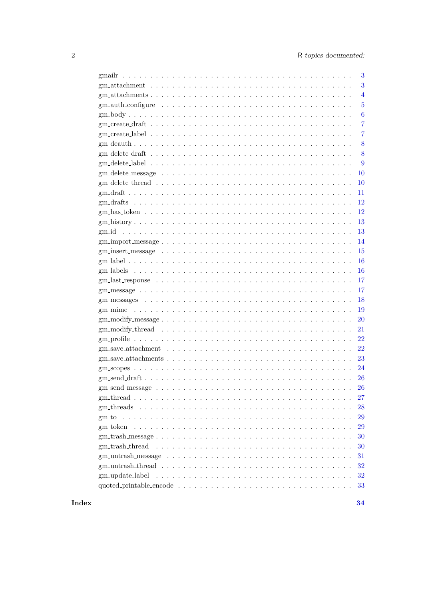|                                                                                                                 | 3              |
|-----------------------------------------------------------------------------------------------------------------|----------------|
|                                                                                                                 | 3              |
|                                                                                                                 | $\overline{4}$ |
|                                                                                                                 | $\overline{5}$ |
|                                                                                                                 | 6              |
|                                                                                                                 | 7              |
|                                                                                                                 | 7              |
|                                                                                                                 | 8              |
|                                                                                                                 | 8              |
|                                                                                                                 | 9              |
|                                                                                                                 | 10             |
|                                                                                                                 | 10             |
|                                                                                                                 | 11             |
|                                                                                                                 | 12             |
|                                                                                                                 | 12             |
|                                                                                                                 |                |
|                                                                                                                 | 13<br>13       |
|                                                                                                                 |                |
|                                                                                                                 | 14             |
|                                                                                                                 | 15             |
|                                                                                                                 | 16             |
|                                                                                                                 | 16             |
|                                                                                                                 | 17             |
|                                                                                                                 | 17             |
|                                                                                                                 | 18             |
|                                                                                                                 | 19             |
|                                                                                                                 | 20             |
|                                                                                                                 | 21             |
|                                                                                                                 | 22             |
|                                                                                                                 | 22             |
|                                                                                                                 | 23             |
|                                                                                                                 | 24             |
|                                                                                                                 | 26             |
| gm_send_message                                                                                                 | 26             |
|                                                                                                                 | 27             |
|                                                                                                                 | 28             |
|                                                                                                                 | 29             |
|                                                                                                                 | 29             |
|                                                                                                                 | 30             |
| gm_trash_thread                                                                                                 | 30             |
| gm_untrash_message $\ldots \ldots \ldots \ldots \ldots \ldots \ldots \ldots \ldots \ldots \ldots \ldots \ldots$ | 31             |
|                                                                                                                 | 32             |
| gm_update_label                                                                                                 | 32             |
|                                                                                                                 | 33             |
|                                                                                                                 |                |

Index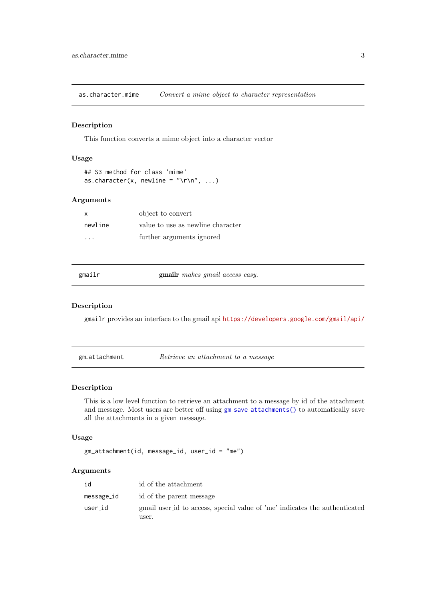<span id="page-2-0"></span>as.character.mime Convert a mime object to character representation

#### Description

This function converts a mime object into a character vector

# Usage

```
## S3 method for class 'mime'
as.character(x, newline = "\r\n", ...)
```
## Arguments

| x        | object to convert                 |
|----------|-----------------------------------|
| newline  | value to use as newline character |
| $\cdots$ | further arguments ignored         |

| gmai |  |
|------|--|

gmailr makes gmail access easy.

#### Description

gmailr provides an interface to the gmail api <https://developers.google.com/gmail/api/>

<span id="page-2-1"></span>gm\_attachment Retrieve an attachment to a message

## Description

This is a low level function to retrieve an attachment to a message by id of the attachment and message. Most users are better off using  $gm\_save\_attachments()$  $gm\_save\_attachments()$  to automatically save all the attachments in a given message.

# Usage

gm\_attachment(id, message\_id, user\_id = "me")

| id         | id of the attachment                                                                |
|------------|-------------------------------------------------------------------------------------|
| message_id | id of the parent message                                                            |
| user_id    | gmail user id to access, special value of 'me' indicates the authenticated<br>user. |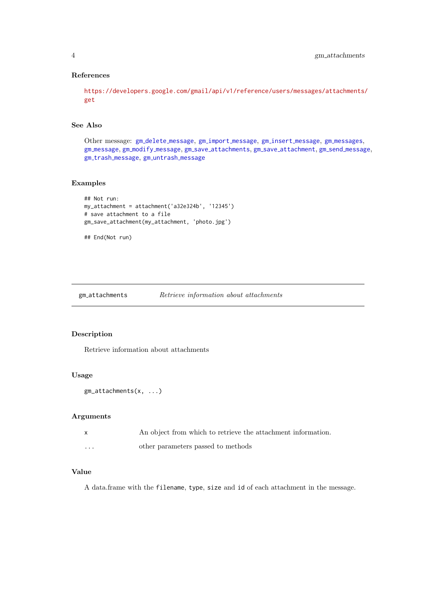# References

[https://developers.google.com/gmail/api/v1/reference/users/messages/attachments/](https://developers.google.com/gmail/api/v1/reference/users/messages/attachments/get) [get](https://developers.google.com/gmail/api/v1/reference/users/messages/attachments/get)

# See Also

Other [message](#page-14-1): gm\_delete\_message, gm\_import\_message, gm\_insert\_message, gm\_[messages](#page-17-1), gm\_[message](#page-25-1), gm\_modify\_message, gm\_save\_[attachments](#page-22-1), gm\_save\_[attachment](#page-21-1), gm\_send\_message, gm\_trash\_[message](#page-29-1), gm\_[untrash](#page-30-1)\_message

# Examples

```
## Not run:
my_attachment = attachment('a32e324b', '12345')
# save attachment to a file
gm_save_attachment(my_attachment, 'photo.jpg')
```
## End(Not run)

gm attachments Retrieve information about attachments

# Description

Retrieve information about attachments

#### Usage

```
gm_attachments(x, ...)
```
## Arguments

|          | An object from which to retrieve the attachment information |
|----------|-------------------------------------------------------------|
| $\cdots$ | other parameters passed to methods                          |

# Value

A data.frame with the filename, type, size and id of each attachment in the message.

<span id="page-3-0"></span>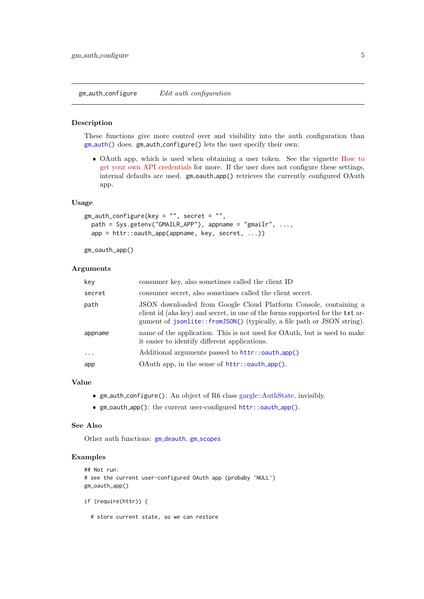<span id="page-4-1"></span><span id="page-4-0"></span> $gm$ -auth\_configure  $Edit \; author\; configuration$ 

#### Description

These functions give more control over and visibility into the auth configuration than gm [auth\(\)](#page-23-1) does. gm auth configure() lets the user specify their own:

 OAuth app, which is used when obtaining a user token. See the vignette [How to](https://gargle.r-lib.org/articles/get-api-credentials.html) [get your own API credentials](https://gargle.r-lib.org/articles/get-api-credentials.html) for more. If the user does not configure these settings, internal defaults are used. gm\_oauth\_app() retrieves the currently configured OAuth app.

#### Usage

```
gm_auth_configure(key = "", secret = "",
  path = Sys.getenv("GMAILR_APP"), appname = "gmailr", ...,
  app = \text{http::oauth\_app(appname, key, secret, ...)}
```
gm\_oauth\_app()

## Arguments

| key     | consumer key, also sometimes called the client ID                                                                                                                                                                            |
|---------|------------------------------------------------------------------------------------------------------------------------------------------------------------------------------------------------------------------------------|
| secret  | consumer secret, also sometimes called the client secret.                                                                                                                                                                    |
| path    | JSON downloaded from Google Cloud Platform Console, containing a<br>client id (aka key) and secret, in one of the forms supported for the txt ar-<br>gument of jsonlite::fromJSON() (typically, a file path or JSON string). |
| appname | name of the application. This is not used for OAuth, but is used to make<br>it easier to identify different applications.                                                                                                    |
| $\cdot$ | Additional arguments passed to httr::oauth_app()                                                                                                                                                                             |
| app     | OAuth app, in the sense of $http://auth_app()$ .                                                                                                                                                                             |

#### Value

- gm auth configure(): An object of R6 class [gargle::AuthState,](#page-0-0) invisibly.
- gm oauth app(): the current user-configured [httr::oauth](#page-0-0) app().

## See Also

Other auth functions: gm\_[deauth](#page-7-1), gm\_[scopes](#page-23-2)

## Examples

```
## Not run:
# see the current user-configured OAuth app (probaby `NULL`)
gm_oauth_app()
if (require(httr)) {
```
# store current state, so we can restore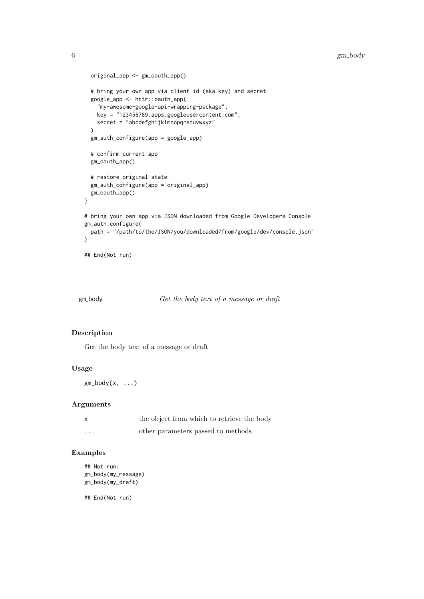```
original_app <- gm_oauth_app()
  # bring your own app via client id (aka key) and secret
  google_app <- httr::oauth_app(
    "my-awesome-google-api-wrapping-package",
    key = "123456789.apps.googleusercontent.com",
   secret = "abcdefghijklmnopqrstuvwxyz"
  \lambdagm_auth_configure(app = google_app)
  # confirm current app
  gm_oauth_app()
  # restore original state
  gm_auth_configure(app = original_app)
  gm_oauth_app()
}
# bring your own app via JSON downloaded from Google Developers Console
gm_auth_configure(
 path = "/path/to/the/JSON/you/downloaded/from/google/dev/console.json"
\lambda## End(Not run)
```
gm body Get the body text of a message or draft

## Description

Get the body text of a message or draft

#### Usage

 $gm\_body(x, \ldots)$ 

#### Arguments

| X        | the object from which to retrieve the body |
|----------|--------------------------------------------|
| $\cdots$ | other parameters passed to methods         |

#### Examples

```
## Not run:
gm_body(my_message)
gm_body(my_draft)
```
<span id="page-5-0"></span>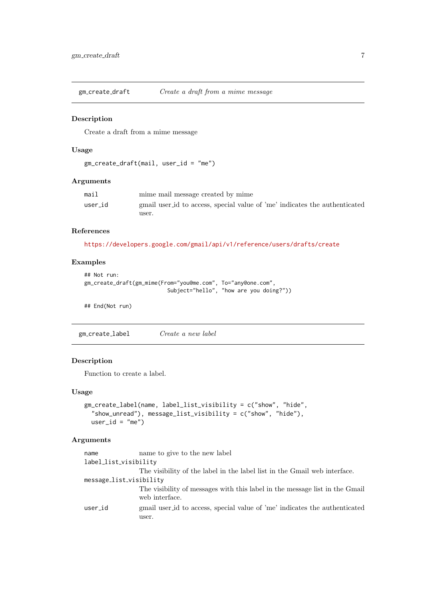<span id="page-6-0"></span>gm create draft Create a draft from a mime message

# Description

Create a draft from a mime message

# Usage

```
gm_create_draft(mail, user_id = "me")
```
#### Arguments

| mail    | mime mail message created by mime                                          |
|---------|----------------------------------------------------------------------------|
| user_id | gmail user id to access, special value of 'me' indicates the authenticated |
|         | user.                                                                      |

# References

<https://developers.google.com/gmail/api/v1/reference/users/drafts/create>

# Examples

```
## Not run:
gm_create_draft(gm_mime(From="you@me.com", To="any@one.com",
                          Subject="hello", "how are you doing?"))
```
## End(Not run)

<span id="page-6-1"></span>gm create label Create a new label

## Description

Function to create a label.

#### Usage

```
gm_create_label(name, label_list_visibility = c("show", "hide",
  "show_unread"), message_list_visibility = c("show", "hide"),
 user_id = "me")
```

| name                    | name to give to the new label                                                                 |
|-------------------------|-----------------------------------------------------------------------------------------------|
| label_list_visibility   |                                                                                               |
|                         | The visibility of the label in the label list in the Gmail web interface.                     |
| message_list_visibility |                                                                                               |
|                         | The visibility of messages with this label in the message list in the Gmail<br>web interface. |
| user_id                 | gmail user id to access, special value of 'me' indicates the authenticated<br>user.           |
|                         |                                                                                               |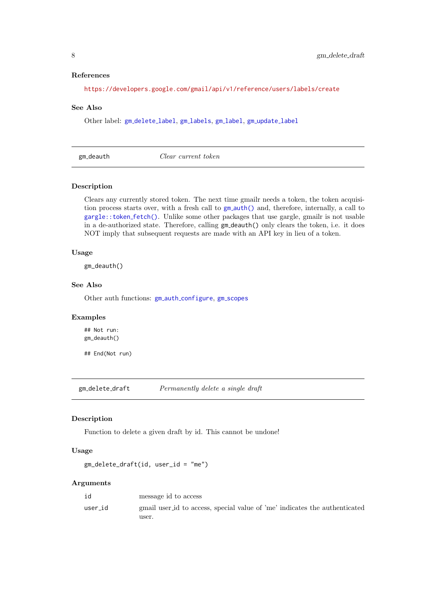#### References

<https://developers.google.com/gmail/api/v1/reference/users/labels/create>

#### See Also

Other label: gm\_[delete](#page-8-1)\_label, gm\_[labels](#page-15-1), gm\_[label](#page-15-2), gm\_[update](#page-31-1)\_label

<span id="page-7-1"></span>gm\_deauth Clear current token

## Description

Clears any currently stored token. The next time gmailr needs a token, the token acquisition process starts over, with a fresh call to gm\_[auth\(\)](#page-23-1) and, therefore, internally, a call to [gargle::token](#page-0-0) fetch(). Unlike some other packages that use gargle, gmailr is not usable in a de-authorized state. Therefore, calling gm deauth() only clears the token, i.e. it does NOT imply that subsequent requests are made with an API key in lieu of a token.

## Usage

gm\_deauth()

## See Also

Other auth functions: gm\_auth\_[configure](#page-4-1), gm\_[scopes](#page-23-2)

## Examples

## Not run: gm\_deauth()

## End(Not run)

<span id="page-7-2"></span>gm delete draft Permanently delete a single draft

#### Description

Function to delete a given draft by id. This cannot be undone!

#### Usage

```
gm_delete_draft(id, user_id = "me")
```

|         | message id to access                                                                |
|---------|-------------------------------------------------------------------------------------|
| user_id | gmail user id to access, special value of 'me' indicates the authenticated<br>user. |
|         |                                                                                     |

<span id="page-7-0"></span>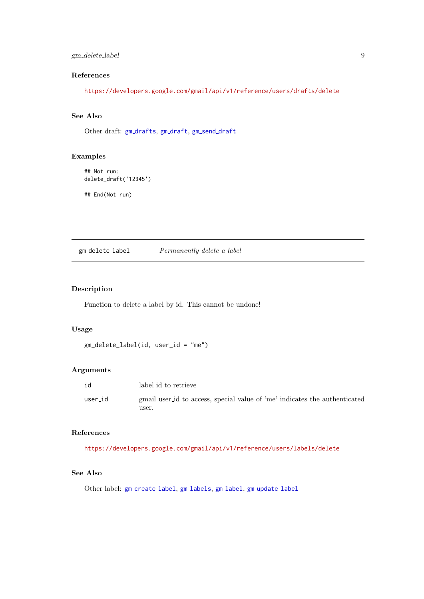#### <span id="page-8-0"></span>gm delete label 9

# References

<https://developers.google.com/gmail/api/v1/reference/users/drafts/delete>

# See Also

Other draft: gm\_[drafts](#page-11-1), gm\_[draft](#page-25-2), gm\_send\_draft

# Examples

```
## Not run:
delete_draft('12345')
```
## End(Not run)

<span id="page-8-1"></span>gm delete label Permanently delete a label

# Description

Function to delete a label by id. This cannot be undone!

## Usage

```
gm_delete_label(id, user_id = "me")
```
# Arguments

| id      | label id to retrieve                                                       |
|---------|----------------------------------------------------------------------------|
| user_id | gmail user id to access, special value of 'me' indicates the authenticated |
|         | user.                                                                      |

## References

<https://developers.google.com/gmail/api/v1/reference/users/labels/delete>

# See Also

Other label: gm\_[create](#page-6-1)\_label, gm\_[labels](#page-15-1), gm\_[label](#page-15-2), gm\_[update](#page-31-1)\_label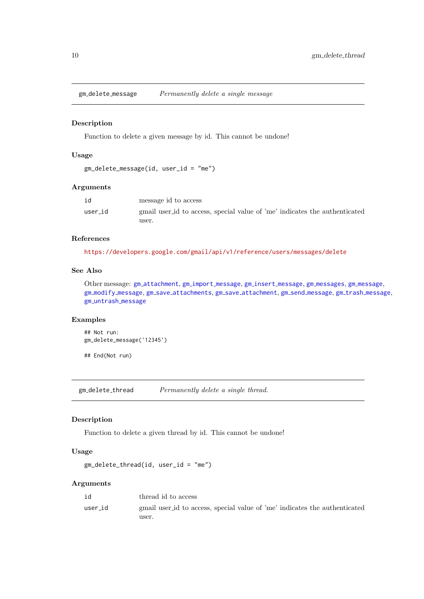<span id="page-9-1"></span><span id="page-9-0"></span>gm delete message Permanently delete a single message

## Description

Function to delete a given message by id. This cannot be undone!

## Usage

```
gm_delete_message(id, user_id = "me")
```
## Arguments

|         | message id to access                                                       |
|---------|----------------------------------------------------------------------------|
| user_id | gmail user id to access, special value of 'me' indicates the authenticated |
|         | user.                                                                      |

## References

<https://developers.google.com/gmail/api/v1/reference/users/messages/delete>

# See Also

Other message: gm [attachment](#page-2-1), gm import [message](#page-13-1), gm insert [message](#page-14-1), gm [messages](#page-17-1), gm [message](#page-16-1), gm modify [message](#page-19-1), gm save [attachments](#page-22-1), gm save [attachment](#page-21-1), gm send [message](#page-25-1), gm trash [message](#page-29-1), gm [untrash](#page-30-1) message

# Examples

```
## Not run:
gm_delete_message('12345')
```
## End(Not run)

<span id="page-9-2"></span>gm\_delete\_thread Permanently delete a single thread.

## Description

Function to delete a given thread by id. This cannot be undone!

# Usage

```
gm_delete_thread(id, user_id = "me")
```

| id      | thread id to access                                                                 |
|---------|-------------------------------------------------------------------------------------|
| user_id | gmail user id to access, special value of 'me' indicates the authenticated<br>user. |
|         |                                                                                     |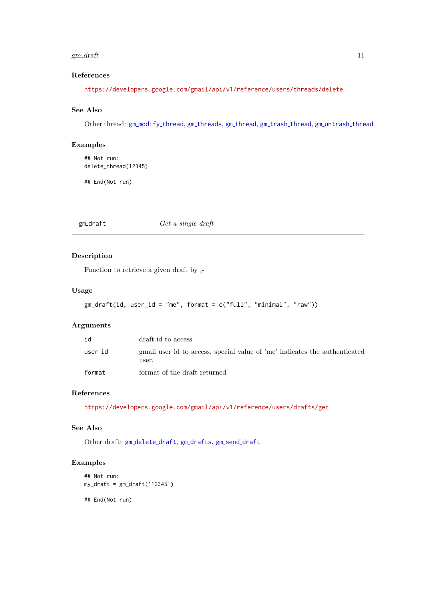#### <span id="page-10-0"></span> $g$ m draft 11

# References

<https://developers.google.com/gmail/api/v1/reference/users/threads/delete>

# See Also

Other thread: gm\_[modify](#page-20-1)\_thread, gm\_[threads](#page-27-1), gm\_[thread](#page-29-2), gm\_trash\_thread, gm\_[untrash](#page-31-2)\_thread

# Examples

```
## Not run:
delete_thread(12345)
```
## End(Not run)

<span id="page-10-1"></span> $g$ m\_draft  $G$ et a single draft

# Description

Function to retrieve a given draft by ¡-

# Usage

```
gm_draft(id, user_id = "me", format = c("full", "minimal", "raw"))
```
# Arguments

| id      | draft id to access                                                                  |
|---------|-------------------------------------------------------------------------------------|
| user_id | gmail user id to access, special value of 'me' indicates the authenticated<br>user. |
| format  | format of the draft returned                                                        |

# References

<https://developers.google.com/gmail/api/v1/reference/users/drafts/get>

# See Also

Other draft: gm\_[delete](#page-7-2)\_draft, gm\_[drafts](#page-11-1), gm\_send\_[draft](#page-25-2)

# Examples

```
## Not run:
my_draft = gm_draft('12345')
```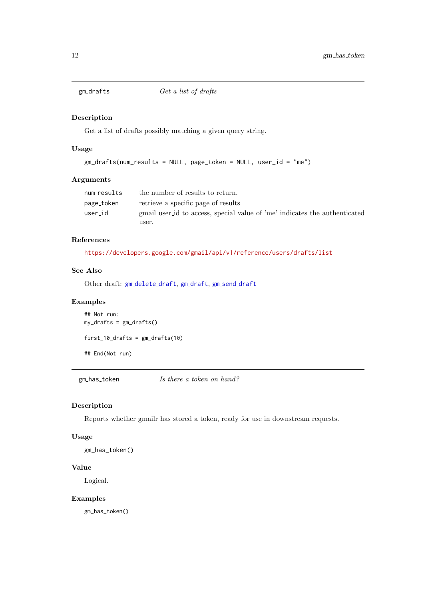<span id="page-11-1"></span><span id="page-11-0"></span>

Get a list of drafts possibly matching a given query string.

# Usage

```
gm_drafts(num_results = NULL, page_token = NULL, user_id = "me")
```
#### Arguments

| num_results | the number of results to return.                                           |
|-------------|----------------------------------------------------------------------------|
| page_token  | retrieve a specific page of results                                        |
| user_id     | gmail user id to access, special value of 'me' indicates the authenticated |
|             | user.                                                                      |

## References

<https://developers.google.com/gmail/api/v1/reference/users/drafts/list>

## See Also

Other draft: gm\_[delete](#page-7-2)\_[draft](#page-25-2), gm\_draft, gm\_send\_draft

# Examples

```
## Not run:
my_drafts = gm_drafts()
first_10_drafts = gm_drafts(10)
## End(Not run)
```
 $g$ m\_has\_token Is there a token on hand?

# Description

Reports whether gmailr has stored a token, ready for use in downstream requests.

# Usage

gm\_has\_token()

# Value

Logical.

## Examples

gm\_has\_token()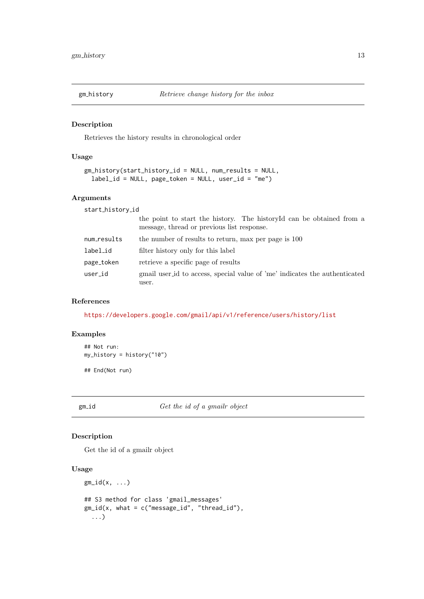<span id="page-12-0"></span>

Retrieves the history results in chronological order

# Usage

```
gm_history(start_history_id = NULL, num_results = NULL,
 label_id = NULL, page_token = NULL, user_id = "me")
```
# Arguments

| start_history_id |                                                                                                                    |
|------------------|--------------------------------------------------------------------------------------------------------------------|
|                  | the point to start the history. The historyId can be obtained from a<br>message, thread or previous list response. |
| num_results      | the number of results to return, max per page is 100                                                               |
| label_id         | filter history only for this label                                                                                 |
| page_token       | retrieve a specific page of results                                                                                |
| user_id          | gmail user id to access, special value of 'me' indicates the authenticated<br>user.                                |

# References

<https://developers.google.com/gmail/api/v1/reference/users/history/list>

# Examples

```
## Not run:
my_history = history("10")
```
## End(Not run)

gm\_id Get the id of a gmailr object

# Description

Get the id of a gmailr object

## Usage

```
gm_id(x, \ldots)## S3 method for class 'gmail_messages'
gm_id(x, what = c("message_id", "thread_id"),
  ...)
```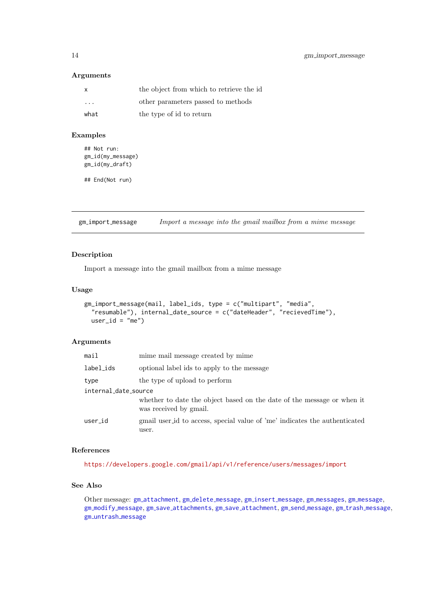#### Arguments

| X                       | the object from which to retrieve the id |
|-------------------------|------------------------------------------|
| $\cdot$ $\cdot$ $\cdot$ | other parameters passed to methods       |
| what                    | the type of id to return                 |

#### Examples

```
## Not run:
gm_id(my_message)
gm_id(my_draft)
```
## End(Not run)

<span id="page-13-1"></span> $g$ m import message Import a message into the gmail mailbox from a mime message

# Description

Import a message into the gmail mailbox from a mime message

#### Usage

```
gm_import_message(mail, label_ids, type = c("multipart", "media",
 "resumable"), internal_date_source = c("dateHeader", "recievedTime"),
 user_id = "me")
```
# Arguments

| mail                 | mime mail message created by mime                                                                |  |
|----------------------|--------------------------------------------------------------------------------------------------|--|
| label_ids            | optional label ids to apply to the message                                                       |  |
| type                 | the type of upload to perform                                                                    |  |
| internal_date_source |                                                                                                  |  |
|                      | whether to date the object based on the date of the message or when it<br>was received by gmail. |  |
| user_id              | gmail user id to access, special value of 'me' indicates the authenticated<br>user.              |  |

# References

<https://developers.google.com/gmail/api/v1/reference/users/messages/import>

# See Also

Other message: gm\_[attachment](#page-2-1), gm\_delete\_[message](#page-16-1), gm\_insert\_message, gm\_[messages](#page-17-1), gm\_message, gm\_modify\_[message](#page-29-1), gm\_save\_[attachments](#page-22-1), gm\_save\_[attachment](#page-21-1), gm\_send\_message, gm\_trash\_message, gm [untrash](#page-30-1) message

<span id="page-13-0"></span>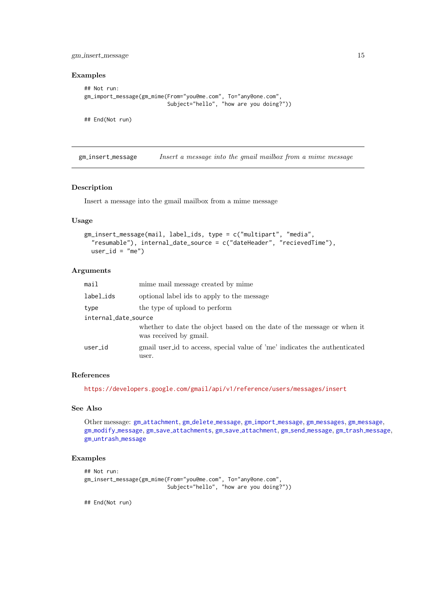<span id="page-14-0"></span>gm\_insert\_message 15

# Examples

```
## Not run:
gm_import_message(gm_mime(From="you@me.com", To="any@one.com",
                          Subject="hello", "how are you doing?"))
```
## End(Not run)

<span id="page-14-1"></span>gm insert message Insert a message into the gmail mailbox from a mime message

## Description

Insert a message into the gmail mailbox from a mime message

## Usage

```
gm_insert_message(mail, label_ids, type = c("multipart", "media",
  "resumable"), internal_date_source = c("dateHeader", "recievedTime"),
 user_id = "me")
```
#### Arguments

| mail                 | mime mail message created by mime                                                                |
|----------------------|--------------------------------------------------------------------------------------------------|
| label_ids            | optional label ids to apply to the message                                                       |
| type                 | the type of upload to perform                                                                    |
| internal_date_source |                                                                                                  |
|                      | whether to date the object based on the date of the message or when it<br>was received by gmail. |
| user_id              | gmail user id to access, special value of 'me' indicates the authenticated<br>user.              |

## References

<https://developers.google.com/gmail/api/v1/reference/users/messages/insert>

# See Also

Other message: gm [attachment](#page-2-1), gm delete [message](#page-9-1), gm import [message](#page-13-1), gm [messages](#page-17-1), gm [message](#page-16-1), gm\_modify\_[message](#page-29-1), gm\_save\_[attachments](#page-22-1), gm\_save\_[attachment](#page-21-1), gm\_send\_message, gm\_trash\_message, gm [untrash](#page-30-1) message

#### Examples

```
## Not run:
gm_insert_message(gm_mime(From="you@me.com", To="any@one.com",
                          Subject="hello", "how are you doing?"))
```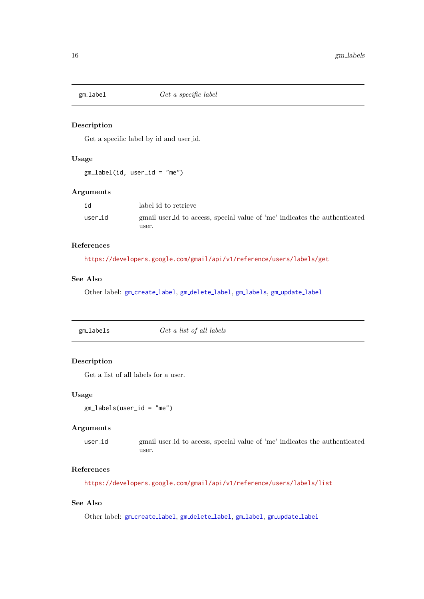<span id="page-15-2"></span><span id="page-15-0"></span>

Get a specific label by id and user id.

# Usage

gm\_label(id, user\_id = "me")

# Arguments

| id      | label id to retrieve                                                       |
|---------|----------------------------------------------------------------------------|
| user_id | gmail user id to access, special value of 'me' indicates the authenticated |
|         | user.                                                                      |

# References

<https://developers.google.com/gmail/api/v1/reference/users/labels/get>

# See Also

Other label: gm\_[create](#page-6-1)\_label, gm\_[delete](#page-8-1)\_label, gm\_[labels](#page-15-1), gm\_[update](#page-31-1)\_label

<span id="page-15-1"></span>

| gm_labels | Get a list of all labels |
|-----------|--------------------------|
|           |                          |

## Description

Get a list of all labels for a user.

## Usage

```
gm_labels(user_id = "me")
```
# Arguments

user id gmail user id to access, special value of 'me' indicates the authenticated user.

## References

<https://developers.google.com/gmail/api/v1/reference/users/labels/list>

# See Also

Other label: gm\_[create](#page-6-1)\_label, gm\_[delete](#page-8-1)\_[label](#page-15-2), gm\_label, gm\_[update](#page-31-1)\_label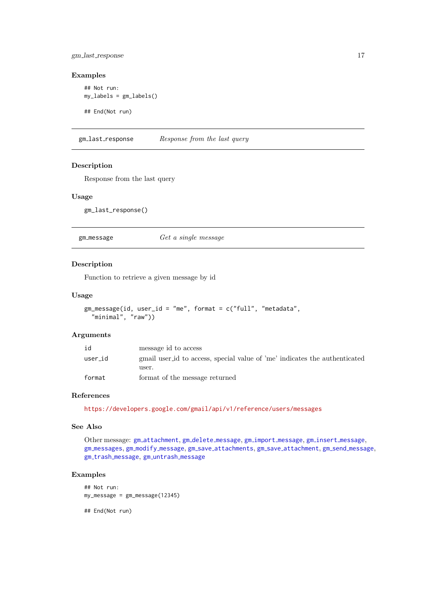<span id="page-16-0"></span>gm last response 17

# Examples

```
## Not run:
my_labels = gm_labels()
## End(Not run)
```
gm\_last\_response Response from the last query

#### Description

Response from the last query

# Usage

gm\_last\_response()

<span id="page-16-1"></span>gm\_message Get a single message

## Description

Function to retrieve a given message by id

#### Usage

```
gm_message(id, user_id = "me", format = c("full", "metadata",
 "minimal", "raw"))
```
#### Arguments

| id      | message id to access                                                       |
|---------|----------------------------------------------------------------------------|
| user_id | gmail user id to access, special value of 'me' indicates the authenticated |
|         | user.                                                                      |
| format  | format of the message returned                                             |

#### References

<https://developers.google.com/gmail/api/v1/reference/users/messages>

## See Also

Other message: gm\_[attachment](#page-2-1), gm\_delete\_[message](#page-14-1), gm\_import\_message, gm\_insert\_message, gm\_[messages](#page-17-1), gm\_modify\_[message](#page-25-1), gm\_save\_[attachments](#page-22-1), gm\_save\_[attachment](#page-21-1), gm\_send\_message, gm\_trash\_[message](#page-29-1), gm\_[untrash](#page-30-1)\_message

## Examples

## Not run: my\_message = gm\_message(12345)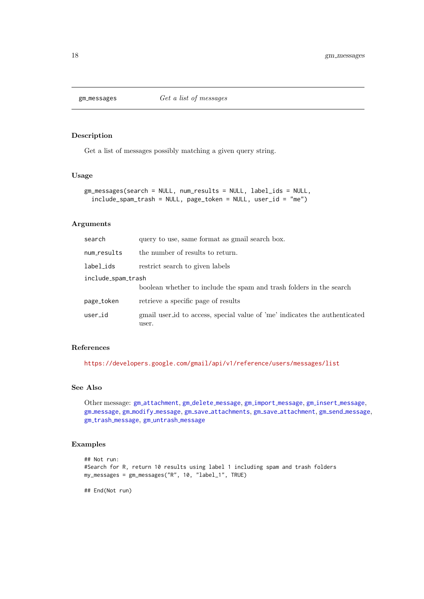<span id="page-17-1"></span><span id="page-17-0"></span>

Get a list of messages possibly matching a given query string.

## Usage

```
gm_messages(search = NULL, num_results = NULL, label_ids = NULL,
  include\_spam\_track = NULL, page\_token = NULL, user_id = "me")
```
# Arguments

| search             | query to use, same format as gmail search box.                                      |  |
|--------------------|-------------------------------------------------------------------------------------|--|
| num_results        | the number of results to return.                                                    |  |
| label_ids          | restrict search to given labels                                                     |  |
| include_spam_trash |                                                                                     |  |
|                    | boolean whether to include the spam and trash folders in the search                 |  |
| page_token         | retrieve a specific page of results                                                 |  |
| user_id            | gmail user id to access, special value of 'me' indicates the authenticated<br>user. |  |

## References

<https://developers.google.com/gmail/api/v1/reference/users/messages/list>

# See Also

Other message: gm [attachment](#page-2-1), gm delete [message](#page-9-1), gm import [message](#page-13-1), gm insert [message](#page-14-1), gm\_[message](#page-25-1), gm\_modify\_message, gm\_save\_[attachments](#page-22-1), gm\_save\_[attachment](#page-21-1), gm\_send\_message, gm\_trash\_[message](#page-29-1), gm\_[untrash](#page-30-1)\_message

# Examples

```
## Not run:
#Search for R, return 10 results using label 1 including spam and trash folders
my_messages = gm_messages("R", 10, "label_1", TRUE)
```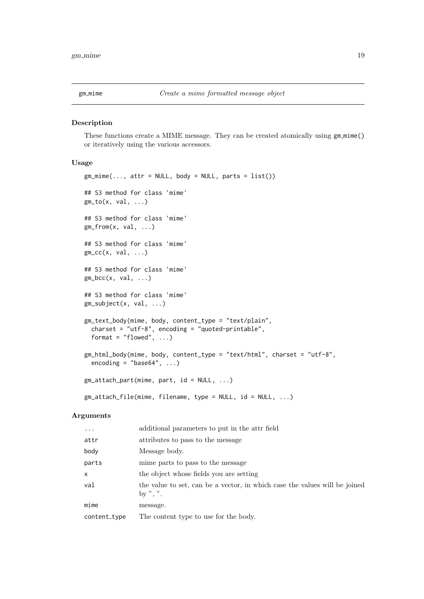<span id="page-18-0"></span>

These functions create a MIME message. They can be created atomically using  $gm\_mine()$ or iteratively using the various accessors.

#### Usage

```
gm\_mime(..., attr = NULL, body = NULL, parts = list())## S3 method for class 'mime'
gm\_to(x, val, ...)## S3 method for class 'mime'
gm_from(x, val, ...)## S3 method for class 'mime'
gm\_cc(x, val, ...)## S3 method for class 'mime'
gm\_bcc(x, val, ...)## S3 method for class 'mime'
gm_subject(x, val, ...)
gm_text_body(mime, body, content_type = "text/plain",
 charset = "utf-8", encoding = "quoted-printable",
 format = "flowed", ...)gm_html_body(mime, body, content_type = "text/html", charset = "utf-8",
  encoding = "base64", ...)gm_attach_part(mime, part, id = NULL, ...)
gm_attach_file(mime, filename, type = NULL, id = NULL, ...)
```

| $\cdots$     | additional parameters to put in the attributed                                         |
|--------------|----------------------------------------------------------------------------------------|
| attr         | attributes to pass to the message                                                      |
| body         | Message body.                                                                          |
| parts        | mime parts to pass to the message                                                      |
| X            | the object whose fields you are setting                                                |
| val          | the value to set, can be a vector, in which case the values will be joined<br>by ", ". |
| mime         | message.                                                                               |
| content_type | The content type to use for the body.                                                  |
|              |                                                                                        |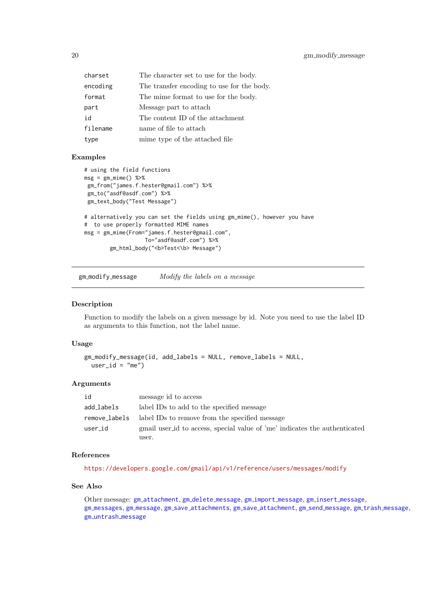<span id="page-19-0"></span>

| charset  | The character set to use for the body.     |
|----------|--------------------------------------------|
| encoding | The transfer encoding to use for the body. |
| format   | The mime format to use for the body.       |
| part     | Message part to attach                     |
| id       | The content ID of the attachment           |
| filename | name of file to attach                     |
| type     | mime type of the attached file             |

## Examples

```
# using the field functions
msg = gm\_mine() %>%
gm_from("james.f.hester@gmail.com") %>%
gm_to("asdf@asdf.com") %>%
gm_text_body("Test Message")
# alternatively you can set the fields using gm_mime(), however you have
# to use properly formatted MIME names
msg = gm_mime(From="james.f.hester@gmail.com",
                  To="asdf@asdf.com") %>%
        gm_html_body("<b>Test<\b> Message")
```
<span id="page-19-1"></span>gm modify message Modify the labels on a message

# Description

Function to modify the labels on a given message by id. Note you need to use the label ID as arguments to this function, not the label name.

#### Usage

```
gm_modify_message(id, add_labels = NULL, remove_labels = NULL,
 user id = "me")
```
#### Arguments

| id            | message id to access                                                       |
|---------------|----------------------------------------------------------------------------|
| add_labels    | label IDs to add to the specified message                                  |
| remove_labels | label IDs to remove from the specified message                             |
| user_id       | gmail user id to access, special value of 'me' indicates the authenticated |
|               | user.                                                                      |

# References

<https://developers.google.com/gmail/api/v1/reference/users/messages/modify>

# See Also

Other message: gm\_[attachment](#page-2-1), gm\_delete\_[message](#page-14-1), gm\_import\_message, gm\_insert\_message, gm [messages](#page-17-1), gm [message](#page-16-1), gm save [attachments](#page-22-1), gm save [attachment](#page-21-1), gm send [message](#page-25-1), gm trash [message](#page-29-1), gm [untrash](#page-30-1) message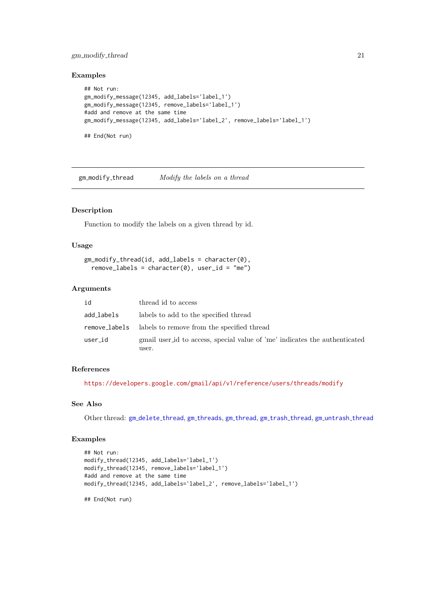#### <span id="page-20-0"></span>gm modify thread 21

# Examples

```
## Not run:
gm_modify_message(12345, add_labels='label_1')
gm_modify_message(12345, remove_labels='label_1')
#add and remove at the same time
gm_modify_message(12345, add_labels='label_2', remove_labels='label_1')
## End(Not run)
```
<span id="page-20-1"></span> $g$ m modify thread  $Modify$  the labels on a thread

# Description

Function to modify the labels on a given thread by id.

# Usage

```
gm_modify_thread(id, add_labels = character(0),
  remove_labels = character(0), user_id = "me")
```
#### Arguments

| id         | thread id to access                                                                 |
|------------|-------------------------------------------------------------------------------------|
| add_labels | labels to add to the specified thread                                               |
|            | remove_labels labels to remove from the specified thread                            |
| user_id    | gmail user id to access, special value of 'me' indicates the authenticated<br>user. |

## References

<https://developers.google.com/gmail/api/v1/reference/users/threads/modify>

# See Also

Other thread: gm\_[delete](#page-9-2)\_thread, gm\_[threads](#page-27-1), gm\_[thread](#page-29-2), gm\_trash\_thread, gm\_[untrash](#page-31-2)\_thread

# Examples

```
## Not run:
modify_thread(12345, add_labels='label_1')
modify_thread(12345, remove_labels='label_1')
#add and remove at the same time
modify_thread(12345, add_labels='label_2', remove_labels='label_1')
```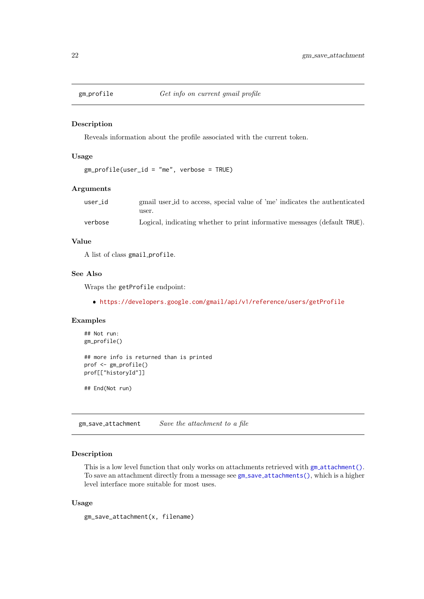<span id="page-21-0"></span>

Reveals information about the profile associated with the current token.

### Usage

```
gm_profile(user_id = "me", verbose = TRUE)
```
# Arguments

| user_id | gmail user id to access, special value of 'me' indicates the authenticated<br>user. |
|---------|-------------------------------------------------------------------------------------|
| verbose | Logical, indicating whether to print informative messages (default TRUE).           |

## Value

A list of class gmail profile.

## See Also

Wraps the getProfile endpoint:

<https://developers.google.com/gmail/api/v1/reference/users/getProfile>

#### Examples

```
## Not run:
gm_profile()
## more info is returned than is printed
prof <- gm_profile()
```
## End(Not run)

prof[["historyId"]]

<span id="page-21-1"></span>gm\_save\_attachment Save the attachment to a file

# Description

This is a low level function that only works on attachments retrieved with  $gm_4 + cm_2$ . To save an attachment directly from a message see gm\_save\_[attachments\(\)](#page-22-1), which is a higher level interface more suitable for most uses.

# Usage

```
gm_save_attachment(x, filename)
```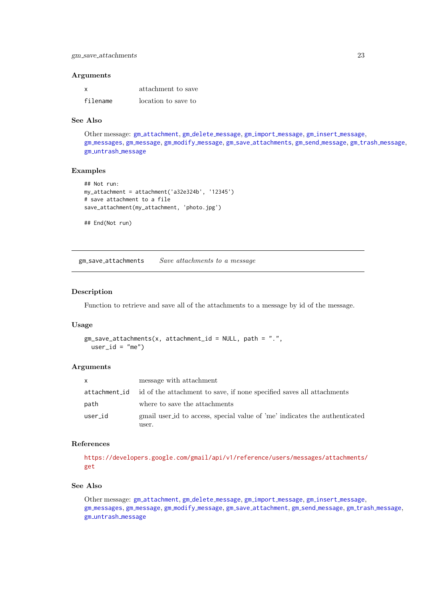#### <span id="page-22-0"></span>Arguments

| X        | attachment to save  |
|----------|---------------------|
| filename | location to save to |

# See Also

Other message: gm\_[attachment](#page-2-1), gm\_delete\_[message](#page-14-1), gm\_import\_message, gm\_insert\_message, gm\_[messages](#page-17-1), gm\_[message](#page-29-1), gm\_modify\_message, gm\_save\_[attachments](#page-22-1), gm\_send\_message, gm\_trash\_message, gm\_[untrash](#page-30-1)\_message

#### Examples

```
## Not run:
my attachment = attachment('a32e324b', '12345')
# save attachment to a file
save_attachment(my_attachment, 'photo.jpg')
```
## End(Not run)

<span id="page-22-1"></span>gm save attachments Save attachments to a message

## Description

Function to retrieve and save all of the attachments to a message by id of the message.

## Usage

```
gm\_save\_attachments(x, attachment_id = NULL, path = "."user_id = "me")
```
#### Arguments

| X             | message with attachment                                                             |
|---------------|-------------------------------------------------------------------------------------|
| attachment_id | id of the attachment to save, if none specified saves all attachments               |
| path          | where to save the attachments                                                       |
| user_id       | gmail user id to access, special value of 'me' indicates the authenticated<br>user. |

#### References

[https://developers.google.com/gmail/api/v1/reference/users/messages/attachments/](https://developers.google.com/gmail/api/v1/reference/users/messages/attachments/get) [get](https://developers.google.com/gmail/api/v1/reference/users/messages/attachments/get)

# See Also

Other message: gm\_[attachment](#page-2-1), gm\_delete\_[message](#page-14-1), gm\_import\_message, gm\_insert\_message, gm [messages](#page-17-1), gm [message](#page-16-1), gm modify [message](#page-19-1), gm save [attachment](#page-21-1), gm send [message](#page-25-1), gm trash [message](#page-29-1), gm [untrash](#page-30-1) message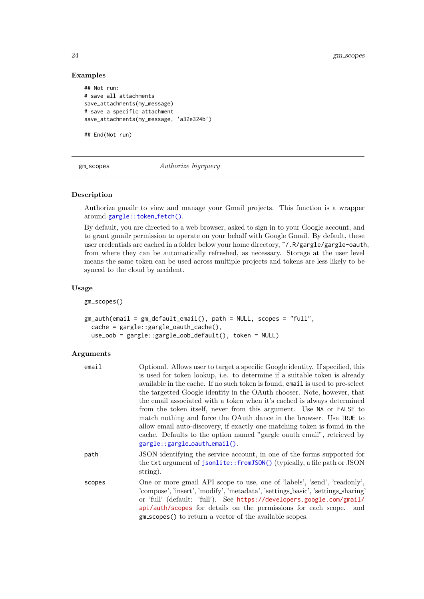# Examples

```
## Not run:
# save all attachments
save_attachments(my_message)
# save a specific attachment
save_attachments(my_message, 'a32e324b')
```
## End(Not run)

<span id="page-23-2"></span>gm\_scopes Authorize bigrquery

# <span id="page-23-1"></span>Description

Authorize gmailr to view and manage your Gmail projects. This function is a wrapper around [gargle::token](#page-0-0)\_fetch().

By default, you are directed to a web browser, asked to sign in to your Google account, and to grant gmailr permission to operate on your behalf with Google Gmail. By default, these user credentials are cached in a folder below your home directory, ˜/.R/gargle/gargle-oauth, from where they can be automatically refreshed, as necessary. Storage at the user level means the same token can be used across multiple projects and tokens are less likely to be synced to the cloud by accident.

## Usage

gm\_scopes()

```
gm_auth(email = gm_default_email(), path = NULL, scopes = "full",
 cache = gargle::gargle_oauth_cache(),
  use_oob = gargle::gargle_oob_default(), token = NULL)
```

| email  | Optional. Allows user to target a specific Google identity. If specified, this                                                                                                                                                                                                                                                                                        |
|--------|-----------------------------------------------------------------------------------------------------------------------------------------------------------------------------------------------------------------------------------------------------------------------------------------------------------------------------------------------------------------------|
|        | is used for token lookup, i.e. to determine if a suitable token is already                                                                                                                                                                                                                                                                                            |
|        | available in the cache. If no such token is found, email is used to pre-select                                                                                                                                                                                                                                                                                        |
|        | the targetted Google identity in the OAuth chooser. Note, however, that                                                                                                                                                                                                                                                                                               |
|        | the email associated with a token when it's cached is always determined                                                                                                                                                                                                                                                                                               |
|        | from the token itself, never from this argument. Use NA or FALSE to                                                                                                                                                                                                                                                                                                   |
|        | match nothing and force the OAuth dance in the browser. Use TRUE to                                                                                                                                                                                                                                                                                                   |
|        | allow email auto-discovery, if exactly one matching token is found in the<br>cache. Defaults to the option named "gargle_oauth_email", retrieved by<br>$gargle::gargle\_oauth\_email()$ .                                                                                                                                                                             |
| path   | JSON identifying the service account, in one of the forms supported for<br>the txt argument of jsonlite::fromJSON() (typically, a file path or JSON<br>$string$ ).                                                                                                                                                                                                    |
| scopes | One or more gmail API scope to use, one of 'labels', 'send', 'readonly',<br>'compose', 'insert', 'modify', 'metadata', 'settings_basic', 'settings_sharing'<br>or 'full' (default: 'full'). See https://developers.google.com/gmail/<br>api/auth/scopes for details on the permissions for each scope. and<br>gm_scopes() to return a vector of the available scopes. |

<span id="page-23-0"></span>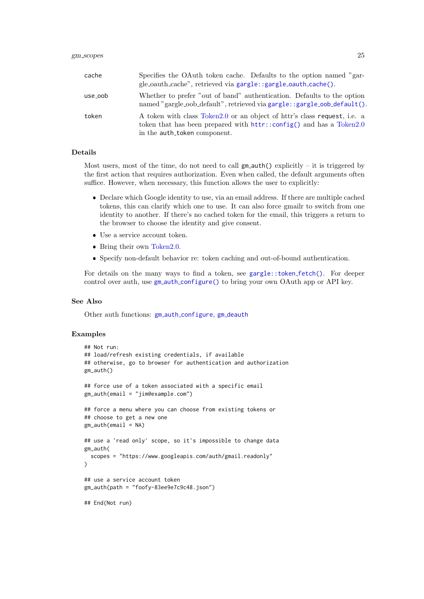<span id="page-24-0"></span>

| cache   | Specifies the OAuth token cache. Defaults to the option named "gar-<br>gle_oauth_cache", retrieved via gargle::gargle_oauth_cache().                                                 |
|---------|--------------------------------------------------------------------------------------------------------------------------------------------------------------------------------------|
| use_oob | Whether to prefer "out of band" authentication. Defaults to the option<br>named "gargle_oob_default", retrieved via gargle::gargle_oob_default().                                    |
| token   | A token with class Token 2.0 or an object of httr's class request, i.e. a<br>token that has been prepared with $http://config()$ and has a Token 2.0<br>in the auth_token component. |

# Details

Most users, most of the time, do not need to call  $gm_$ -auth() explicitly – it is triggered by the first action that requires authorization. Even when called, the default arguments often suffice. However, when necessary, this function allows the user to explicitly:

- Declare which Google identity to use, via an email address. If there are multiple cached tokens, this can clarify which one to use. It can also force gmailr to switch from one identity to another. If there's no cached token for the email, this triggers a return to the browser to choose the identity and give consent.
- Use a service account token.
- Bring their own [Token2.0.](#page-0-0)
- Specify non-default behavior re: token caching and out-of-bound authentication.

For details on the many ways to find a token, see [gargle::token](#page-0-0) fetch(). For deeper control over auth, use gm\_auth\_[configure\(\)](#page-4-1) to bring your own OAuth app or API key.

## See Also

Other auth functions: gm\_auth\_[configure](#page-4-1), gm\_[deauth](#page-7-1)

#### Examples

```
## Not run:
## load/refresh existing credentials, if available
## otherwise, go to browser for authentication and authorization
gm_auth()
## force use of a token associated with a specific email
gm auth(email = "jim@example.com")
## force a menu where you can choose from existing tokens or
## choose to get a new one
gm_-auth(email = NA)
## use a 'read only' scope, so it's impossible to change data
gm_auth(
  scopes = "https://www.googleapis.com/auth/gmail.readonly"
)
## use a service account token
gm_auth(path = "foofy-83ee9e7c9c48.json")
## End(Not run)
```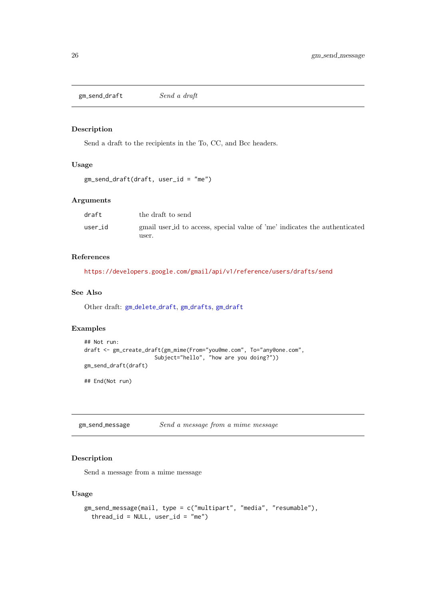<span id="page-25-2"></span><span id="page-25-0"></span>gm\_send\_draft Send a draft

## Description

Send a draft to the recipients in the To, CC, and Bcc headers.

# Usage

```
gm_send_draft(draft, user_id = "me")
```
# Arguments

| draft   | the draft to send                                                          |
|---------|----------------------------------------------------------------------------|
| user_id | gmail user id to access, special value of 'me' indicates the authenticated |
|         | user.                                                                      |

#### References

<https://developers.google.com/gmail/api/v1/reference/users/drafts/send>

# See Also

Other draft: gm\_[delete](#page-7-2)\_draft, gm\_[drafts](#page-11-1), gm\_[draft](#page-10-1)

# Examples

```
## Not run:
draft <- gm_create_draft(gm_mime(From="you@me.com", To="any@one.com",
                      Subject="hello", "how are you doing?"))
gm_send_draft(draft)
## End(Not run)
```
<span id="page-25-1"></span>gm send message Send a message from a mime message

## Description

Send a message from a mime message

# Usage

```
gm_send_message(mail, type = c("multipart", "media", "resumable"),
  thread_id = NULL, user_id = "me")
```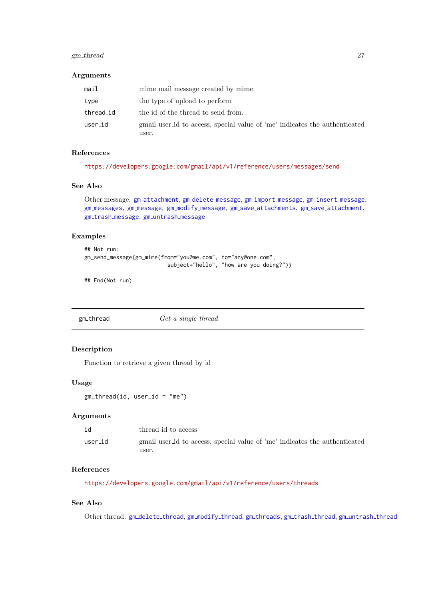#### <span id="page-26-0"></span>gm thread 27

## Arguments

| mail      | mime mail message created by mime                                                   |
|-----------|-------------------------------------------------------------------------------------|
| type      | the type of upload to perform                                                       |
| thread_id | the id of the thread to send from.                                                  |
| user_id   | gmail user id to access, special value of 'me' indicates the authenticated<br>user. |

# References

```
https://developers.google.com/gmail/api/v1/reference/users/messages/send
```
## See Also

```
Other message: gm attachment, gm delete message, gm import message, gm insert message,
gm messages, gm message, gm modify message, gm save attachments, gm save attachment,
gm trash message, gm untrash message
```
## Examples

```
## Not run:
gm_send_message(gm_mime(from="you@me.com", to="any@one.com",
                          subject="hello", "how are you doing?"))
```
## End(Not run)

<span id="page-26-1"></span>gm\_thread Get a single thread

# Description

Function to retrieve a given thread by id

#### Usage

 $gm_{th}$ read(id, user\_id = "me")

# Arguments

| id      | thread id to access                                                        |
|---------|----------------------------------------------------------------------------|
| user_id | gmail user id to access, special value of 'me' indicates the authenticated |
|         | user.                                                                      |

## References

<https://developers.google.com/gmail/api/v1/reference/users/threads>

# See Also

Other thread: gm\_[delete](#page-9-2)\_thread, gm\_[modify](#page-20-1)\_thread, gm\_[threads](#page-27-1), gm\_trash\_[thread](#page-29-2), gm\_[untrash](#page-31-2)\_thread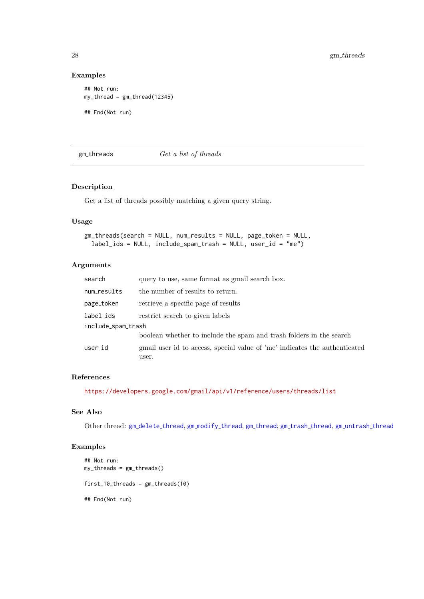# Examples

```
## Not run:
my_thread = gm_thread(12345)
```
## End(Not run)

<span id="page-27-1"></span>gm threads Get a list of threads

# Description

Get a list of threads possibly matching a given query string.

## Usage

```
gm_threads(search = NULL, num_results = NULL, page_token = NULL,
 label_ids = NULL, include_spam_trash = NULL, user_id = "me")
```
## Arguments

| search             | query to use, same format as gmail search box.                                      |  |
|--------------------|-------------------------------------------------------------------------------------|--|
| num_results        | the number of results to return.                                                    |  |
| page_token         | retrieve a specific page of results                                                 |  |
| label_ids          | restrict search to given labels                                                     |  |
| include_spam_trash |                                                                                     |  |
|                    | boolean whether to include the spam and trash folders in the search                 |  |
| user_id            | gmail user id to access, special value of 'me' indicates the authenticated<br>user. |  |

## References

<https://developers.google.com/gmail/api/v1/reference/users/threads/list>

## See Also

Other thread: gm\_[delete](#page-9-2)\_thread, gm\_[modify](#page-20-1)\_[thread](#page-29-2), gm\_thread, gm\_trash\_thread, gm\_[untrash](#page-31-2)\_thread

# Examples

```
## Not run:
my_threads = gm_threads()
first_10_threads = gm_threads(10)
## End(Not run)
```
<span id="page-27-0"></span>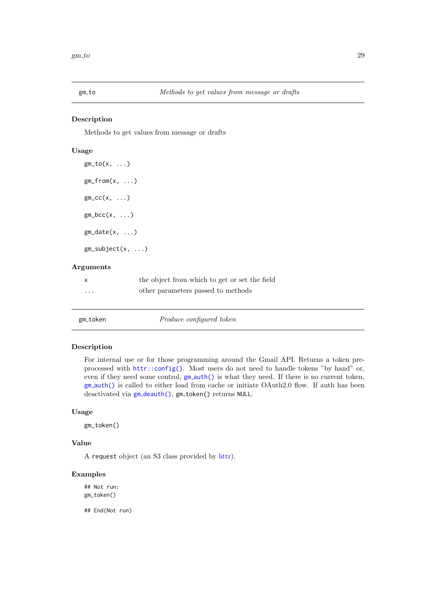<span id="page-28-0"></span>

Methods to get values from message or drafts

# Usage

```
gm\_to(x, \ldots)gm_from(x, \ldots)gm\_cc(x, \ldots)gm\_bcc(x, \ldots)gm\_date(x, ...)gm_subject(x, ...)
```
### Arguments

| X        | the object from which to get or set the field |
|----------|-----------------------------------------------|
| $\cdots$ | other parameters passed to methods            |

| gm_token | Produce configured token |
|----------|--------------------------|
|----------|--------------------------|

## Description

For internal use or for those programming around the Gmail API. Returns a token preprocessed with [httr::config\(\)](#page-0-0). Most users do not need to handle tokens "by hand" or, even if they need some control,  $gm_auth()$  $gm_auth()$  is what they need. If there is no current token, gm [auth\(\)](#page-23-1) is called to either load from cache or initiate OAuth2.0 flow. If auth has been deactivated via gm\_[deauth\(\)](#page-7-1), gm\_token() returns NULL.

# Usage

gm\_token()

#### Value

A request object (an S3 class provided by [httr\)](#page-0-0).

## Examples

## Not run: gm\_token()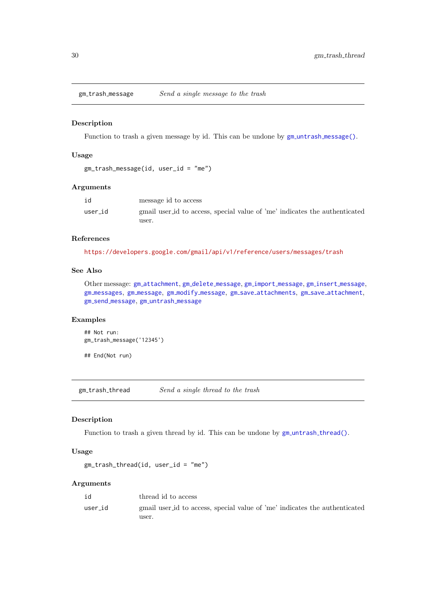<span id="page-29-1"></span><span id="page-29-0"></span>gm\_trash\_message Send a single message to the trash

## Description

Function to trash a given message by id. This can be undone by  $gm\_untrash_m essage()$ .

## Usage

```
gm_trash_message(id, user_id = "me")
```
#### Arguments

|         | message id to access                                                       |
|---------|----------------------------------------------------------------------------|
| user_id | gmail user id to access, special value of 'me' indicates the authenticated |
|         | user.                                                                      |

## References

<https://developers.google.com/gmail/api/v1/reference/users/messages/trash>

# See Also

Other message: gm\_[attachment](#page-2-1), gm\_delete\_[message](#page-14-1), gm\_import\_message, gm\_insert\_message, gm [messages](#page-17-1), gm [message](#page-16-1), gm modify [message](#page-19-1), gm save [attachments](#page-22-1), gm save [attachment](#page-21-1), gm send [message](#page-25-1), gm [untrash](#page-30-1) message

# Examples

```
## Not run:
gm_trash_message('12345')
```
## End(Not run)

<span id="page-29-2"></span>gm\_trash\_thread Send a single thread to the trash

## Description

Function to trash a given thread by id. This can be undone by  $gm\_untrash\_thread()$  $gm\_untrash\_thread()$ .

# Usage

```
gm_trash_thread(id, user_id = "me")
```

| user_id<br>user. | id | thread id to access                                                        |
|------------------|----|----------------------------------------------------------------------------|
|                  |    | gmail user id to access, special value of 'me' indicates the authenticated |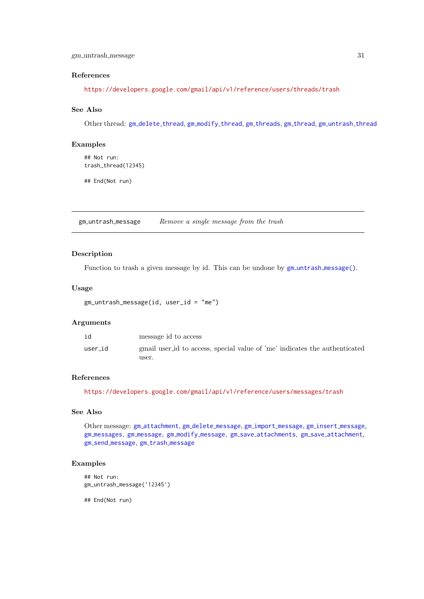## <span id="page-30-0"></span>References

<https://developers.google.com/gmail/api/v1/reference/users/threads/trash>

## See Also

Other thread: gm\_[delete](#page-9-2)\_thread, gm\_[modify](#page-20-1)\_thread, gm\_[threads](#page-27-1), gm\_[thread](#page-26-1), gm\_[untrash](#page-31-2)\_thread

## Examples

```
## Not run:
trash_thread(12345)
```
## End(Not run)

<span id="page-30-1"></span>gm untrash message Remove a single message from the trash

## Description

Function to trash a given message by id. This can be undone by  $gm\_untrash_m essage()$ .

## Usage

```
gm_untrash_message(id, user_id = "me")
```
# Arguments

| id      | message id to access                                                       |
|---------|----------------------------------------------------------------------------|
| user_id | gmail user id to access, special value of 'me' indicates the authenticated |
|         | user.                                                                      |

# References

<https://developers.google.com/gmail/api/v1/reference/users/messages/trash>

# See Also

Other message: gm\_[attachment](#page-2-1), gm\_delete\_[message](#page-14-1), gm\_import\_message, gm\_insert\_message, gm [messages](#page-17-1), gm [message](#page-16-1), gm modify [message](#page-19-1), gm save [attachments](#page-22-1), gm save [attachment](#page-21-1), gm send [message](#page-25-1), gm trash [message](#page-29-1)

# Examples

```
## Not run:
gm_untrash_message('12345')
```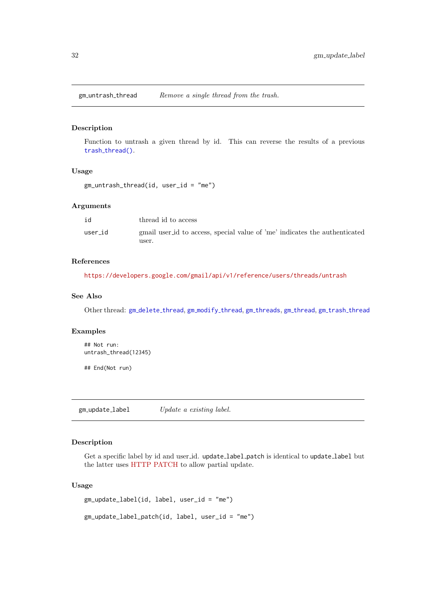<span id="page-31-2"></span><span id="page-31-0"></span>gm\_untrash\_thread Remove a single thread from the trash.

# Description

Function to untrash a given thread by id. This can reverse the results of a previous trash\_[thread\(\)](#page-0-0).

#### Usage

gm\_untrash\_thread(id, user\_id = "me")

## Arguments

| id      | thread id to access                                                        |
|---------|----------------------------------------------------------------------------|
| user_id | gmail user id to access, special value of 'me' indicates the authenticated |
|         | user.                                                                      |

## References

<https://developers.google.com/gmail/api/v1/reference/users/threads/untrash>

## See Also

Other thread: gm\_[delete](#page-9-2)\_thread, gm\_[modify](#page-20-1)\_thread, gm\_[threads](#page-27-1), gm\_[thread](#page-29-2), gm\_trash\_thread

## Examples

```
## Not run:
untrash_thread(12345)
```
## End(Not run)

<span id="page-31-1"></span>gm\_update\_label Update a existing label.

# Description

Get a specific label by id and user id. update label patch is identical to update label but the latter uses [HTTP PATCH](http://tools.ietf.org/html/rfc5789) to allow partial update.

# Usage

```
gm_update_label(id, label, user_id = "me")
gm_update_label_patch(id, label, user_id = "me")
```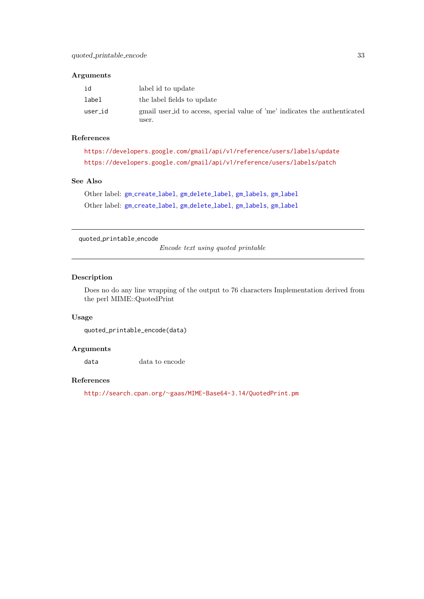## <span id="page-32-0"></span>Arguments

| id      | label id to update                                                         |
|---------|----------------------------------------------------------------------------|
| label   | the label fields to update                                                 |
| user_id | gmail user id to access, special value of 'me' indicates the authenticated |
|         | user.                                                                      |

# References

```
https://developers.google.com/gmail/api/v1/reference/users/labels/update
https://developers.google.com/gmail/api/v1/reference/users/labels/patch
```
## See Also

Other label: gm\_[create](#page-6-1)\_label, gm\_[delete](#page-8-1)\_label, gm\_[labels](#page-15-1), gm\_[label](#page-15-2) Other label: gm\_[create](#page-6-1)\_label, gm\_[delete](#page-8-1)\_label, gm\_[labels](#page-15-1), gm\_[label](#page-15-2)

#### quoted printable encode

Encode text using quoted printable

## Description

Does no do any line wrapping of the output to 76 characters Implementation derived from the perl MIME::QuotedPrint

# Usage

```
quoted_printable_encode(data)
```
## Arguments

data data to encode

# References

http://search.cpan.org/∼[gaas/MIME-Base64-3.14/QuotedPrint.pm](http://search.cpan.org/~gaas/MIME-Base64-3.14/QuotedPrint.pm)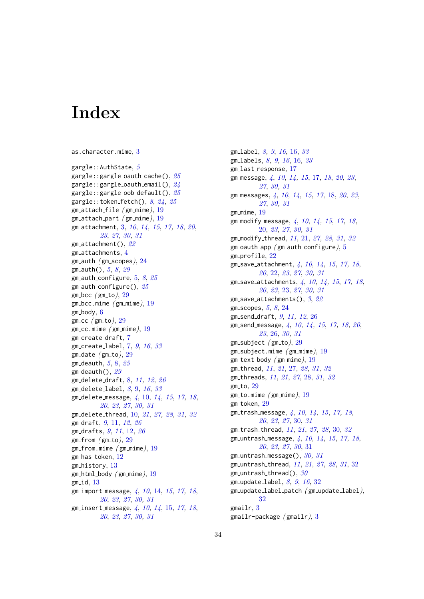# <span id="page-33-0"></span>**Index**

```
as.character.mime, 3
gargle::AuthState, 5
gargle:gargle_0auth_cache(), 25gargle::gargle_oauth_email(), 24gargle::gargle oob default(), 25
gargle::token fetch(), 824,25gm_-attach-file (gm_-mime), 19gm_-attach part (gm_19
gm attachment, 3, 10, 14, 15, 17, 18, 20,
        23, 27, 30, 31
gm attachment(), 22
gm attachments, 4
gm_auth (gm_scopes), 24gm_{}={}_{\text{auth(}}5829
gm_auth_configure, 5,825gm_-auth_configure(), 25gm bcc 29gm\_bcc. mime (gm\_mime), 196gm_cc (gm_to)29
gm\_cc.mime (gm\_mime), 19gm create draft, 7
gm_create_label, 7,91633gm\_date (gm\_to), 29gm_deauth, 58,25gm_deauth(), 29gm delete draft, 8, 11, 12, 26
gm delete label, 8, 9, 16, 33
gm delete message, 4, 10, 14, 15, 17, 18,
        20, 23, 27, 30, 31
gm delete thread, 10, 21, 27, 28, 31, 32
gm draft, 9, 11, 12, 26
gm drafts, 9, 11, 12, 26
29gm\_from.mime (gm_mime), 1912
gm history, 13
gm_-html_body (gm_-19
1341014,1517,18,
        20, 23, 27, 30, 31
gm insert message, 4, 10, 14, 15, 17, 18,
        20, 23, 27, 30, 31
```
gm label, [8,](#page-7-0) [9](#page-8-0), [16](#page-15-0), [16,](#page-15-0) [33](#page-32-0) gm\_labels,  $8, 9, 16, 16, 33$  $8, 9, 16, 16, 33$  $8, 9, 16, 16, 33$  $8, 9, 16, 16, 33$  $8, 9, 16, 16, 33$  $8, 9, 16, 16, 33$  $8, 9, 16, 16, 33$  $8, 9, 16, 16, 33$  $8, 9, 16, 16, 33$ gm\_last\_response, [17](#page-16-0) gm\_message, [4](#page-3-0), [10](#page-9-0), [14,](#page-13-0) [15](#page-14-0), [17,](#page-16-0) [18](#page-17-0), [20](#page-19-0), [23](#page-22-0), [27](#page-26-0), [30,](#page-29-0) [31](#page-30-0) gm\_messages, [4](#page-3-0), [10](#page-9-0), [14,](#page-13-0) [15](#page-14-0), [17](#page-16-0), [18,](#page-17-0) [20](#page-19-0), [23](#page-22-0), [27](#page-26-0), [30,](#page-29-0) [31](#page-30-0)  $gm\_mime, 19$  $gm\_mime, 19$ gm modify message, [4](#page-3-0), [10](#page-9-0), [14,](#page-13-0) [15](#page-14-0), [17,](#page-16-0) [18](#page-17-0), [20,](#page-19-0) [23](#page-22-0), [27](#page-26-0), [30,](#page-29-0) [31](#page-30-0) gm\_modify\_thread, [11](#page-10-0), [21,](#page-20-0) [27,](#page-26-0) [28](#page-27-0), [31,](#page-30-0) [32](#page-31-0)  $gm$ -oauth app ( $gm$ -auth configure),  $5$ gm profile, [22](#page-21-0) gm\_save\_attachment,  $4, 10, 14, 15, 17, 18,$  $4, 10, 14, 15, 17, 18,$  $4, 10, 14, 15, 17, 18,$  $4, 10, 14, 15, 17, 18,$  $4, 10, 14, 15, 17, 18,$  $4, 10, 14, 15, 17, 18,$  $4, 10, 14, 15, 17, 18,$  $4, 10, 14, 15, 17, 18,$  $4, 10, 14, 15, 17, 18,$  $4, 10, 14, 15, 17, 18,$  $4, 10, 14, 15, 17, 18,$  $4, 10, 14, 15, 17, 18,$ [20](#page-19-0), [22,](#page-21-0) [23](#page-22-0), [27](#page-26-0), [30,](#page-29-0) [31](#page-30-0) gm\_save\_attachments,  $4, 10, 14, 15, 17, 18$  $4, 10, 14, 15, 17, 18$  $4, 10, 14, 15, 17, 18$  $4, 10, 14, 15, 17, 18$  $4, 10, 14, 15, 17, 18$  $4, 10, 14, 15, 17, 18$  $4, 10, 14, 15, 17, 18$  $4, 10, 14, 15, 17, 18$  $4, 10, 14, 15, 17, 18$  $4, 10, 14, 15, 17, 18$  $4, 10, 14, 15, 17, 18$ , [20](#page-19-0), [23](#page-22-0), [23,](#page-22-0) [27](#page-26-0), [30,](#page-29-0) [31](#page-30-0) gm\_save\_attachments(),  $3, 22$  $3, 22$  $3, 22$ gm\_scopes,  $5, 8, 24$  $5, 8, 24$  $5, 8, 24$  $5, 8, 24$  $5, 8, 24$ gm send draft, [9](#page-8-0), [11,](#page-10-0) [12](#page-11-0), [26](#page-25-0) gm\_send\_message,  $\lambda$ ,  $10$ ,  $1\lambda$ ,  $15$ ,  $17$ ,  $18$ ,  $20$ , [23](#page-22-0), [26,](#page-25-0) [30,](#page-29-0) [31](#page-30-0)  $gm\_subject$  ( $gm\_to$ ),  $29$  $gm\_subject.mime$  ( $gm\_mime$ ),  $19$  $gm\_text\_body$  ( $gm\_mime$ ),  $19$ gm\_thread, [11](#page-10-0), [21](#page-20-0), [27,](#page-26-0) [28](#page-27-0), [31,](#page-30-0) [32](#page-31-0) gm\_threads, [11](#page-10-0), [21](#page-20-0), [27](#page-26-0), [28,](#page-27-0) [31,](#page-30-0) [32](#page-31-0)  $gm\_to, 29$  $gm\_to, 29$  $gm\_to.\text{mine (gm\_mime), }19$  $gm\_to.\text{mine (gm\_mime), }19$ gm\_token, [29](#page-28-0) gm\_trash\_message, [4](#page-3-0), [10](#page-9-0), [14,](#page-13-0) [15](#page-14-0), [17,](#page-16-0) [18](#page-17-0), [20](#page-19-0), [23](#page-22-0), [27](#page-26-0), [30,](#page-29-0) [31](#page-30-0) gm\_trash\_thread, [11](#page-10-0), [21](#page-20-0), [27,](#page-26-0) [28](#page-27-0), [30,](#page-29-0) [32](#page-31-0) gm untrash message, [4](#page-3-0), [10](#page-9-0), [14,](#page-13-0) [15](#page-14-0), [17,](#page-16-0) [18](#page-17-0), [20](#page-19-0), [23](#page-22-0), [27](#page-26-0), [30](#page-29-0), [31](#page-30-0) gm\_untrash\_message(),  $30, 31$  $30, 31$  $30, 31$ gm\_untrash\_thread, [11](#page-10-0), [21](#page-20-0), [27,](#page-26-0) [28](#page-27-0), [31](#page-30-0), [32](#page-31-0)  $gm\_untrash\_thread()$ , [30](#page-29-0) gm update label, [8,](#page-7-0) [9](#page-8-0), [16](#page-15-0), [32](#page-31-0) gm\_update\_label\_patch ( gm\_update\_label), [32](#page-31-0) gmailr, [3](#page-2-0) gmailr-package ( gmailr), [3](#page-2-0)